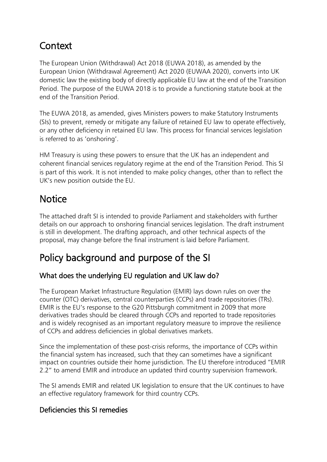### **Context**

The European Union (Withdrawal) Act 2018 (EUWA 2018), as amended by the European Union (Withdrawal Agreement) Act 2020 (EUWAA 2020), converts into UK domestic law the existing body of directly applicable EU law at the end of the Transition Period. The purpose of the EUWA 2018 is to provide a functioning statute book at the end of the Transition Period.

The EUWA 2018, as amended, gives Ministers powers to make Statutory Instruments (SIs) to prevent, remedy or mitigate any failure of retained EU law to operate effectively, or any other deficiency in retained EU law. This process for financial services legislation is referred to as 'onshoring'.

HM Treasury is using these powers to ensure that the UK has an independent and coherent financial services regulatory regime at the end of the Transition Period. This SI is part of this work. It is not intended to make policy changes, other than to reflect the UK's new position outside the EU.

## **Notice**

The attached draft SI is intended to provide Parliament and stakeholders with further details on our approach to onshoring financial services legislation. The draft instrument is still in development. The drafting approach, and other technical aspects of the proposal, may change before the final instrument is laid before Parliament.

# Policy background and purpose of the SI

### What does the underlying EU regulation and UK law do?

The European Market Infrastructure Regulation (EMIR) lays down rules on over the counter (OTC) derivatives, central counterparties (CCPs) and trade repositories (TRs). EMIR is the EU's response to the G20 Pittsburgh commitment in 2009 that more derivatives trades should be cleared through CCPs and reported to trade repositories and is widely recognised as an important regulatory measure to improve the resilience of CCPs and address deficiencies in global derivatives markets.

Since the implementation of these post-crisis reforms, the importance of CCPs within the financial system has increased, such that they can sometimes have a significant impact on countries outside their home jurisdiction. The EU therefore introduced "EMIR 2.2" to amend EMIR and introduce an updated third country supervision framework.

The SI amends EMIR and related UK legislation to ensure that the UK continues to have an effective regulatory framework for third country CCPs.

### Deficiencies this SI remedies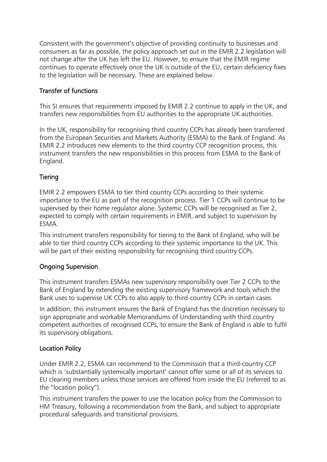Consistent with the government's objective of providing continuity to businesses and consumers as far as possible, the policy approach set out in the EMIR 2.2 legislation will not change after the UK has left the EU. However, to ensure that the EMIR regime continues to operate effectively once the UK is outside of the EU, certain deficiency fixes to the legislation will be necessary. These are explained below.

#### Transfer of functions

This SI ensures that requirements imposed by EMIR 2.2 continue to apply in the UK, and transfers new responsibilities from EU authorities to the appropriate UK authorities.

In the UK, responsibility for recognising third country CCPs has already been transferred from the European Securities and Markets Authority (ESMA) to the Bank of England. As EMIR 2.2 introduces new elements to the third country CCP recognition process, this instrument transfers the new responsibilities in this process from ESMA to the Bank of England.

#### **Tiering**

EMIR 2.2 empowers ESMA to tier third country CCPs according to their systemic importance to the EU as part of the recognition process. Tier 1 CCPs will continue to be supervised by their home regulator alone. Systemic CCPs will be recognised as Tier 2, expected to comply with certain requirements in EMIR, and subject to supervision by ESMA.

This instrument transfers responsibility for tiering to the Bank of England, who will be able to tier third country CCPs according to their systemic importance to the UK. This will be part of their existing responsibility for recognising third country CCPs.

#### Ongoing Supervision

This instrument transfers ESMAs new supervisory responsibility over Tier 2 CCPs to the Bank of England by extending the existing supervisory framework and tools which the Bank uses to supervise UK CCPs to also apply to third-country CCPs in certain cases.

In addition, this instrument ensures the Bank of England has the discretion necessary to sign appropriate and workable Memorandums of Understanding with third country competent authorities of recognised CCPs, to ensure the Bank of England is able to fulfil its supervisory obligations.

#### Location Policy

Under EMIR 2.2, ESMA can recommend to the Commission that a third-country CCP which is 'substantially systemically important' cannot offer some or all of its services to EU clearing members unless those services are offered from inside the EU (referred to as the "location policy").

This instrument transfers the power to use the location policy from the Commission to HM Treasury, following a recommendation from the Bank, and subject to appropriate procedural safeguards and transitional provisions.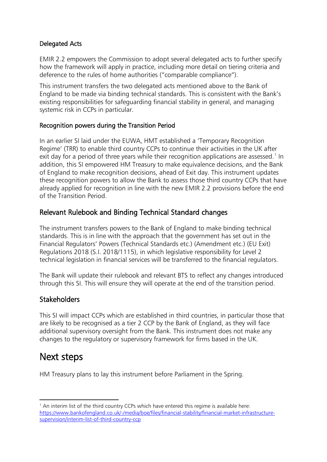#### Delegated Acts

EMIR 2.2 empowers the Commission to adopt several delegated acts to further specify how the framework will apply in practice, including more detail on tiering criteria and deference to the rules of home authorities ("comparable compliance").

This instrument transfers the two delegated acts mentioned above to the Bank of England to be made via binding technical standards. This is consistent with the Bank's existing responsibilities for safeguarding financial stability in general, and managing systemic risk in CCPs in particular.

#### Recognition powers during the Transition Period

In an earlier SI laid under the EUWA, HMT established a 'Temporary Recognition Regime' (TRR) to enable third country CCPs to continue their activities in the UK after exit day for a period of three years while their recognition applications are assessed.<sup>[1](#page-2-0)</sup> In addition, this SI empowered HM Treasury to make equivalence decisions, and the Bank of England to make recognition decisions, ahead of Exit day. This instrument updates these recognition powers to allow the Bank to assess those third country CCPs that have already applied for recognition in line with the new EMIR 2.2 provisions before the end of the Transition Period.

#### Relevant Rulebook and Binding Technical Standard changes

The instrument transfers powers to the Bank of England to make binding technical standards. This is in line with the approach that the government has set out in the Financial Regulators' Powers (Technical Standards etc.) (Amendment etc.) (EU Exit) Regulations 2018 (S.I. 2018/1115), in which legislative responsibility for Level 2 technical legislation in financial services will be transferred to the financial regulators.

The Bank will update their rulebook and relevant BTS to reflect any changes introduced through this SI. This will ensure they will operate at the end of the transition period.

### **Stakeholders**

This SI will impact CCPs which are established in third countries, in particular those that are likely to be recognised as a tier 2 CCP by the Bank of England, as they will face additional supervisory oversight from the Bank. This instrument does not make any changes to the regulatory or supervisory framework for firms based in the UK.

### Next steps

**.** 

HM Treasury plans to lay this instrument before Parliament in the Spring.

<span id="page-2-0"></span><sup>&</sup>lt;sup>1</sup> An interim list of the third country CCPs which have entered this regime is available here: [https://www.bankofengland.co.uk/-/media/boe/files/financial-stability/financial-market-infrastructure](https://www.bankofengland.co.uk/-/media/boe/files/financial-stability/financial-market-infrastructure-supervision/interim-list-of-third-country-ccp)[supervision/interim-list-of-third-country-ccp](https://www.bankofengland.co.uk/-/media/boe/files/financial-stability/financial-market-infrastructure-supervision/interim-list-of-third-country-ccp)